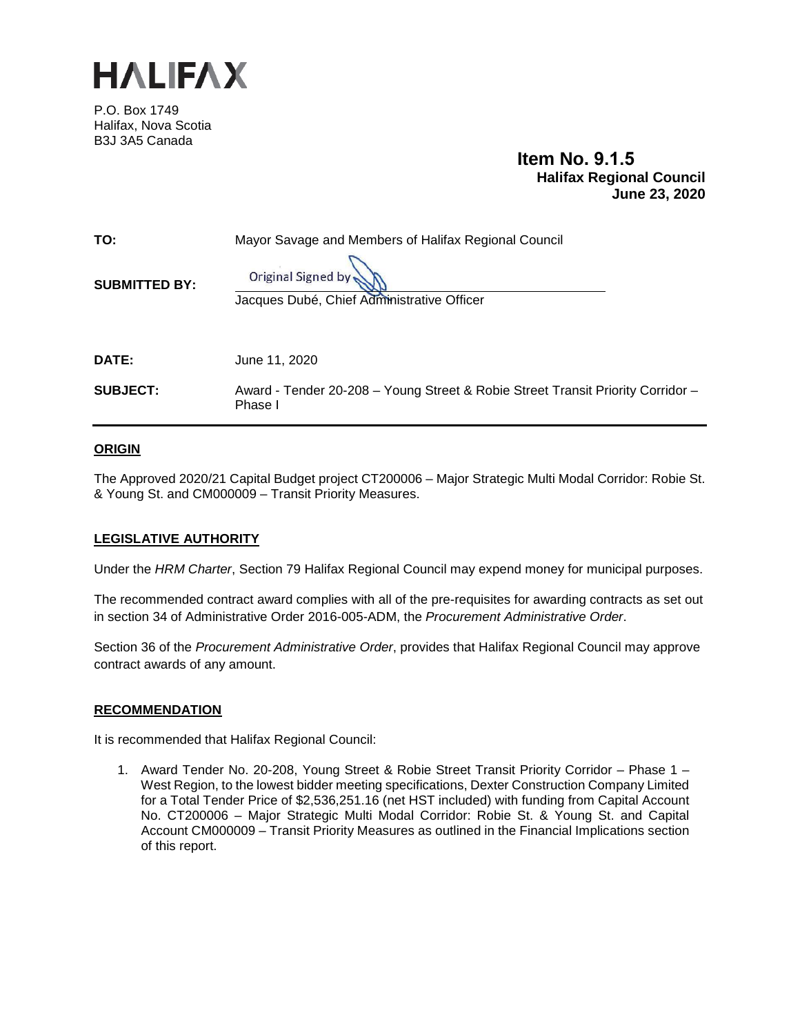

P.O. Box 1749 Halifax, Nova Scotia B3J 3A5 Canada

# **Item No. 9.1.5 Halifax Regional Council June 23, 2020**

| TO:                  | Mayor Savage and Members of Halifax Regional Council                                       |  |
|----------------------|--------------------------------------------------------------------------------------------|--|
| <b>SUBMITTED BY:</b> | Original Signed by<br>Jacques Dubé, Chief Administrative Officer                           |  |
| <b>DATE:</b>         | June 11, 2020                                                                              |  |
| <b>SUBJECT:</b>      | Award - Tender 20-208 - Young Street & Robie Street Transit Priority Corridor -<br>Phase I |  |

## **ORIGIN**

The Approved 2020/21 Capital Budget project CT200006 – Major Strategic Multi Modal Corridor: Robie St. & Young St. and CM000009 – Transit Priority Measures.

## **LEGISLATIVE AUTHORITY**

Under the *HRM Charter*, Section 79 Halifax Regional Council may expend money for municipal purposes.

The recommended contract award complies with all of the pre-requisites for awarding contracts as set out in section 34 of Administrative Order 2016-005-ADM, the *Procurement Administrative Order*.

Section 36 of the *Procurement Administrative Order*, provides that Halifax Regional Council may approve contract awards of any amount.

## **RECOMMENDATION**

It is recommended that Halifax Regional Council:

1. Award Tender No. 20-208, Young Street & Robie Street Transit Priority Corridor – Phase 1 – West Region, to the lowest bidder meeting specifications, Dexter Construction Company Limited for a Total Tender Price of \$2,536,251.16 (net HST included) with funding from Capital Account No. CT200006 – Major Strategic Multi Modal Corridor: Robie St. & Young St. and Capital Account CM000009 – Transit Priority Measures as outlined in the Financial Implications section of this report.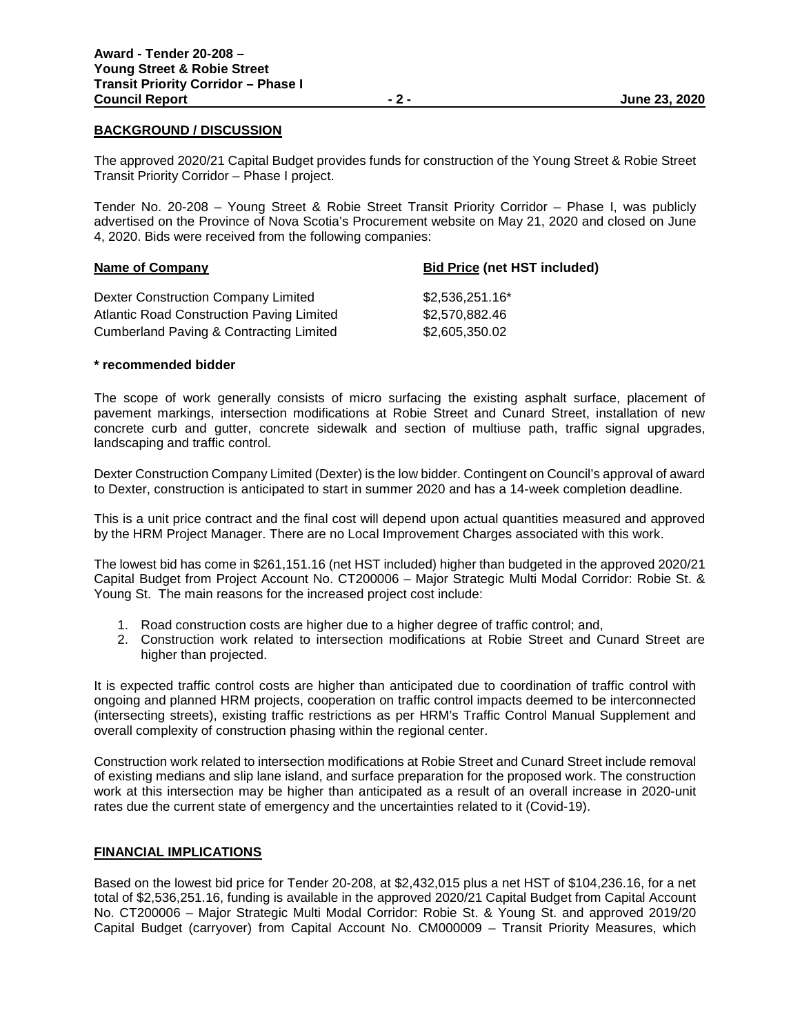#### **BACKGROUND / DISCUSSION**

The approved 2020/21 Capital Budget provides funds for construction of the Young Street & Robie Street Transit Priority Corridor – Phase I project.

Tender No. 20-208 – Young Street & Robie Street Transit Priority Corridor – Phase I, was publicly advertised on the Province of Nova Scotia's Procurement website on May 21, 2020 and closed on June 4, 2020. Bids were received from the following companies:

| <b>Name of Company</b>                    | <b>Bid Price (net HST included)</b> |  |
|-------------------------------------------|-------------------------------------|--|
| Dexter Construction Company Limited       | \$2,536,251.16*                     |  |
| Atlantic Road Construction Paving Limited | \$2,570,882.46                      |  |
| Cumberland Paving & Contracting Limited   | \$2,605,350.02                      |  |

#### **\* recommended bidder**

The scope of work generally consists of micro surfacing the existing asphalt surface, placement of pavement markings, intersection modifications at Robie Street and Cunard Street, installation of new concrete curb and gutter, concrete sidewalk and section of multiuse path, traffic signal upgrades, landscaping and traffic control.

Dexter Construction Company Limited (Dexter) is the low bidder. Contingent on Council's approval of award to Dexter, construction is anticipated to start in summer 2020 and has a 14-week completion deadline.

This is a unit price contract and the final cost will depend upon actual quantities measured and approved by the HRM Project Manager. There are no Local Improvement Charges associated with this work.

The lowest bid has come in \$261,151.16 (net HST included) higher than budgeted in the approved 2020/21 Capital Budget from Project Account No. CT200006 – Major Strategic Multi Modal Corridor: Robie St. & Young St. The main reasons for the increased project cost include:

- 1. Road construction costs are higher due to a higher degree of traffic control; and,
- 2. Construction work related to intersection modifications at Robie Street and Cunard Street are higher than projected.

It is expected traffic control costs are higher than anticipated due to coordination of traffic control with ongoing and planned HRM projects, cooperation on traffic control impacts deemed to be interconnected (intersecting streets), existing traffic restrictions as per HRM's Traffic Control Manual Supplement and overall complexity of construction phasing within the regional center.

Construction work related to intersection modifications at Robie Street and Cunard Street include removal of existing medians and slip lane island, and surface preparation for the proposed work. The construction work at this intersection may be higher than anticipated as a result of an overall increase in 2020-unit rates due the current state of emergency and the uncertainties related to it (Covid-19).

#### **FINANCIAL IMPLICATIONS**

Based on the lowest bid price for Tender 20-208, at \$2,432,015 plus a net HST of \$104,236.16, for a net total of \$2,536,251.16, funding is available in the approved 2020/21 Capital Budget from Capital Account No. CT200006 – Major Strategic Multi Modal Corridor: Robie St. & Young St. and approved 2019/20 Capital Budget (carryover) from Capital Account No. CM000009 – Transit Priority Measures, which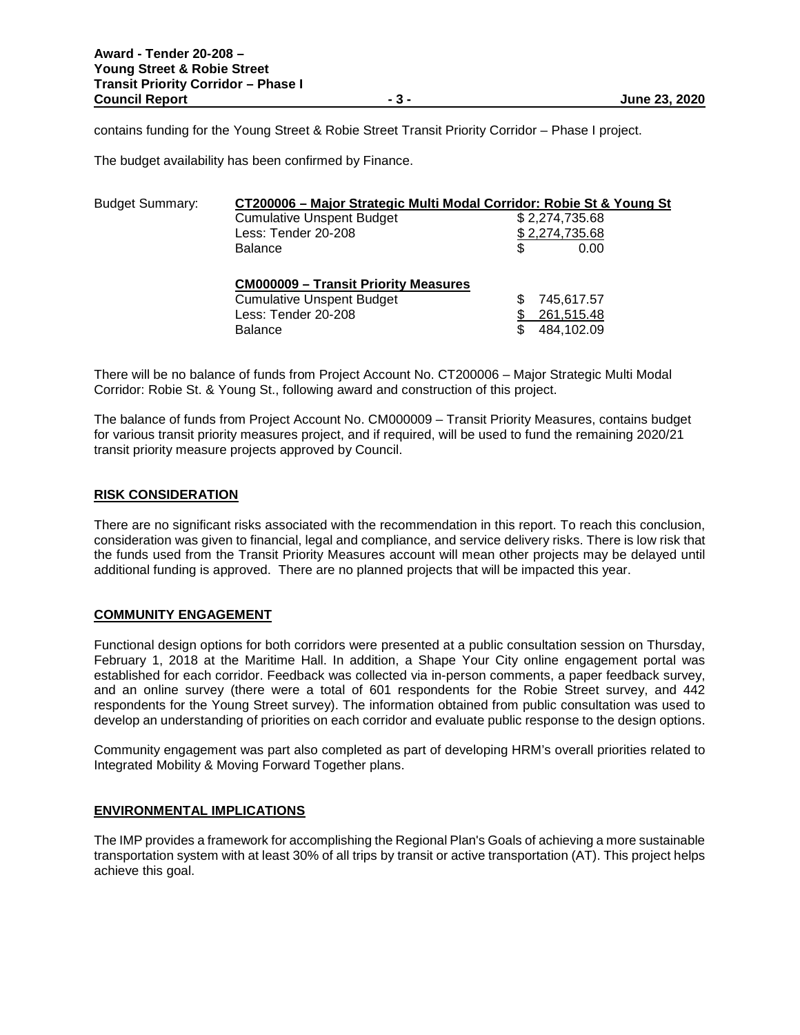contains funding for the Young Street & Robie Street Transit Priority Corridor – Phase I project.

The budget availability has been confirmed by Finance.

| <b>Budget Summary:</b> | CT200006 - Major Strategic Multi Modal Corridor: Robie St & Young St |                |
|------------------------|----------------------------------------------------------------------|----------------|
|                        | <b>Cumulative Unspent Budget</b>                                     | \$2,274,735.68 |
|                        | Less: Tender 20-208                                                  | \$2,274,735.68 |
|                        | <b>Balance</b>                                                       | \$<br>0.00     |
|                        | <b>CM000009 - Transit Priority Measures</b>                          |                |
|                        | <b>Cumulative Unspent Budget</b>                                     | 745,617.57     |
|                        | Less: Tender 20-208                                                  | 261,515.48     |
|                        | <b>Balance</b>                                                       | 484,102.09     |

There will be no balance of funds from Project Account No. CT200006 – Major Strategic Multi Modal Corridor: Robie St. & Young St., following award and construction of this project.

The balance of funds from Project Account No. CM000009 – Transit Priority Measures, contains budget for various transit priority measures project, and if required, will be used to fund the remaining 2020/21 transit priority measure projects approved by Council.

## **RISK CONSIDERATION**

There are no significant risks associated with the recommendation in this report. To reach this conclusion, consideration was given to financial, legal and compliance, and service delivery risks. There is low risk that the funds used from the Transit Priority Measures account will mean other projects may be delayed until additional funding is approved. There are no planned projects that will be impacted this year.

## **COMMUNITY ENGAGEMENT**

Functional design options for both corridors were presented at a public consultation session on Thursday, February 1, 2018 at the Maritime Hall. In addition, a Shape Your City online engagement portal was established for each corridor. Feedback was collected via in-person comments, a paper feedback survey, and an online survey (there were a total of 601 respondents for the Robie Street survey, and 442 respondents for the Young Street survey). The information obtained from public consultation was used to develop an understanding of priorities on each corridor and evaluate public response to the design options.

Community engagement was part also completed as part of developing HRM's overall priorities related to Integrated Mobility & Moving Forward Together plans.

## **ENVIRONMENTAL IMPLICATIONS**

The IMP provides a framework for accomplishing the Regional Plan's Goals of achieving a more sustainable transportation system with at least 30% of all trips by transit or active transportation (AT). This project helps achieve this goal.